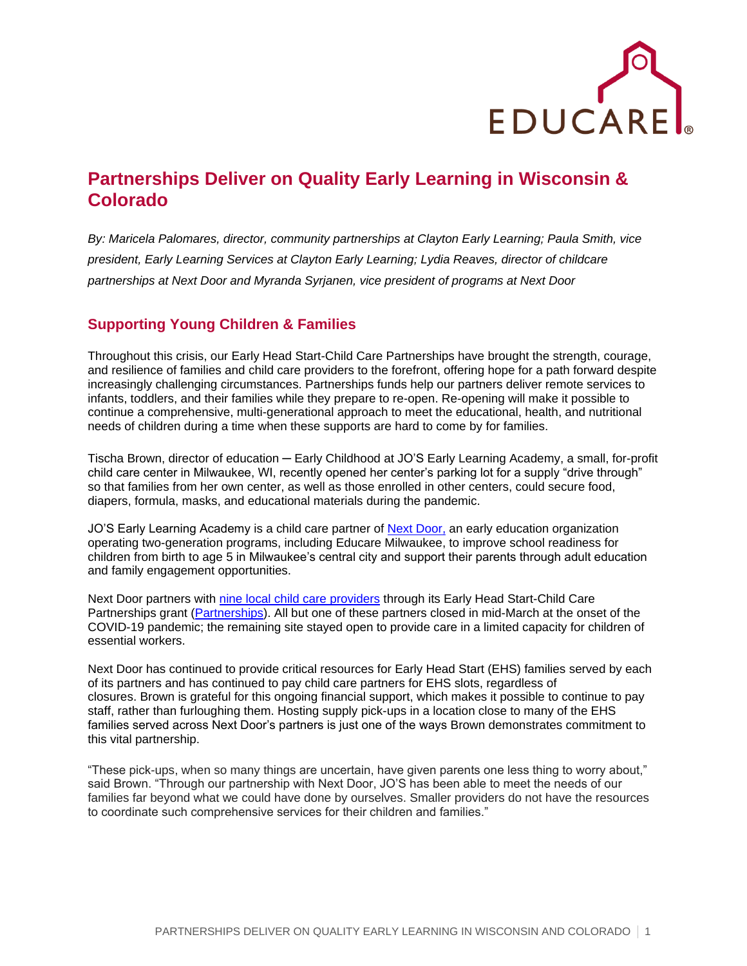

## **Partnerships Deliver on Quality Early Learning in Wisconsin & Colorado**

*By: Maricela Palomares, director, community partnerships at Clayton Early Learning; Paula Smith, vice president, Early Learning Services at Clayton Early Learning; Lydia Reaves, director of childcare partnerships at Next Door and Myranda Syrjanen, vice president of programs at Next Door*

## **Supporting Young Children & Families**

Throughout this crisis, our Early Head Start-Child Care Partnerships have brought the strength, courage, and resilience of families and child care providers to the forefront, offering hope for a path forward despite increasingly challenging circumstances. Partnerships funds help our partners deliver remote services to infants, toddlers, and their families while they prepare to re-open. Re-opening will make it possible to continue a comprehensive, multi-generational approach to meet the educational, health, and nutritional needs of children during a time when these supports are hard to come by for families.

Tischa Brown, director of education ─ Early Childhood at JO'S Early Learning Academy, a small, for-profit child care center in Milwaukee, WI, recently opened her center's parking lot for a supply "drive through" so that families from her own center, as well as those enrolled in other centers, could secure food, diapers, formula, masks, and educational materials during the pandemic.

JO'S Early Learning Academy is a child care partner of [Next Door,](https://www.nextdoormke.org/) an early education organization operating two-generation programs, including Educare Milwaukee, to improve school readiness for children from birth to age 5 in Milwaukee's central city and support their parents through adult education and family engagement opportunities.

Next Door partners with [nine local child care providers](https://www.nextdoormke.org/programs/early-head-start/) through its Early Head Start-Child Care Partnerships grant [\(Partnerships\)](https://www.educareschools.org/ehs-ccp-series/). All but one of these partners closed in mid-March at the onset of the COVID-19 pandemic; the remaining site stayed open to provide care in a limited capacity for children of essential workers.

Next Door has continued to provide critical resources for Early Head Start (EHS) families served by each of its partners and has continued to pay child care partners for EHS slots, regardless of closures. Brown is grateful for this ongoing financial support, which makes it possible to continue to pay staff, rather than furloughing them. Hosting supply pick-ups in a location close to many of the EHS families served across Next Door's partners is just one of the ways Brown demonstrates commitment to this vital partnership.

"These pick-ups, when so many things are uncertain, have given parents one less thing to worry about," said Brown. "Through our partnership with Next Door, JO'S has been able to meet the needs of our families far beyond what we could have done by ourselves. Smaller providers do not have the resources to coordinate such comprehensive services for their children and families."